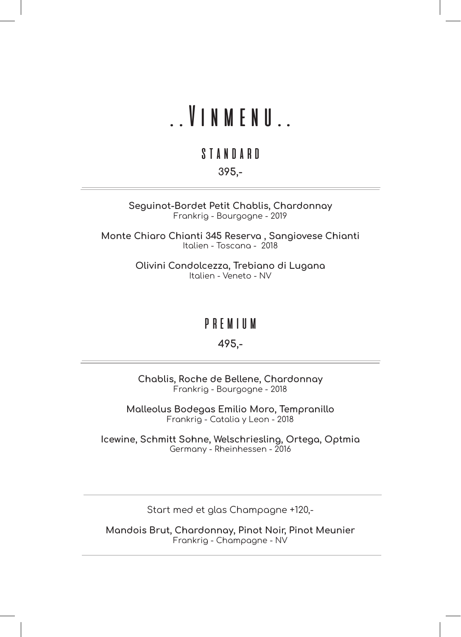## ..Vinmenu..

### standard

395,-

Seguinot-Bordet Petit Chablis, Chardonnay Frankrig - Bourgogne - 2019

Monte Chiaro Chianti 345 Reserva , Sangiovese Chianti Italien - Toscana - 2018

> Olivini Condolcezza, Trebiano di Lugana Italien - Veneto - NV

### premium

#### 495,-

Chablis, Roche de Bellene, Chardonnay Frankrig - Bourgogne - 2018

Malleolus Bodegas Emilio Moro, Tempranillo Frankrig - Catalia y Leon - 2018

Icewine, Schmitt Sohne, Welschriesling, Ortega, Optmia Germany - Rheinhessen - 2016

Start med et glas Champagne +120,-

Mandois Brut, Chardonnay, Pinot Noir, Pinot Meunier Frankrig - Champagne - NV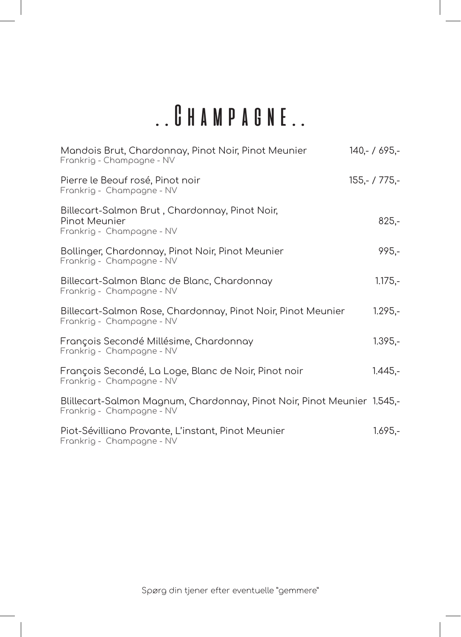## ..Champagne..

| Mandois Brut, Chardonnay, Pinot Noir, Pinot Meunier<br>Frankrig - Champagne - NV                     | $140 - 7695 -$  |
|------------------------------------------------------------------------------------------------------|-----------------|
| Pierre le Beouf rosé, Pinot noir<br>Frankrig - Champagne - NV                                        | $155,- / 775,-$ |
| Billecart-Salmon Brut, Chardonnay, Pinot Noir,<br>Pinot Meunier<br>Frankrig - Champagne - NV         | $825,-$         |
| Bollinger, Chardonnay, Pinot Noir, Pinot Meunier<br>Frankrig - Champagne - NV                        | $995 -$         |
| Billecart-Salmon Blanc de Blanc, Chardonnay<br>Frankrig - Champagne - NV                             | $1.175,-$       |
| Billecart-Salmon Rose, Chardonnay, Pinot Noir, Pinot Meunier<br>Frankrig - Champagne - NV            | $1.295,-$       |
| François Secondé Millésime, Chardonnay<br>Frankrig - Champagne - NV                                  | $1.395 -$       |
| François Secondé, La Loge, Blanc de Noir, Pinot noir<br>Frankrig - Champagne - NV                    | $1.445,-$       |
| Blillecart-Salmon Magnum, Chardonnay, Pinot Noir, Pinot Meunier 1.545,-<br>Frankrig - Champagne - NV |                 |
| Piot-Sévilliano Provante, L'instant, Pinot Meunier<br>Frankrig - Champagne - NV                      | $1.695,-$       |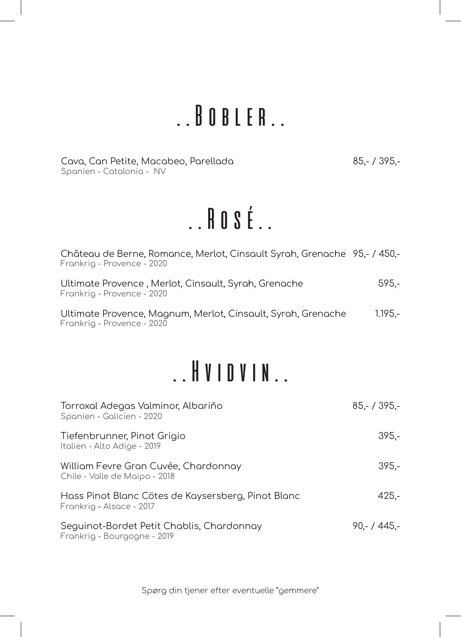## ..Bobler..

Cava, Can Petite, Macabeo, Parellada 85,- / 395,- Spanien - Catalonia - NV

# ..Rosé..

| Château de Berne, Romance, Merlot, Cinsault Syrah, Grenache 95,- / 450,-<br>Frankrig - Provence - 2020 |           |
|--------------------------------------------------------------------------------------------------------|-----------|
| Ultimate Provence , Merlot, Cinsault, Syrah, Grenache<br>Frankrig - Provence - 2020                    | 595.-     |
| Ultimate Provence, Magnum, Merlot, Cinsault, Syrah, Grenache<br>Frankrig - Provence - 2020             | $1.195 -$ |

### ..Hvidvin..

| Torroxal Adegas Valminor, Albariño<br>Spanien - Galicien - 2020                | $85 - 7395 -$ |
|--------------------------------------------------------------------------------|---------------|
| Tiefenbrunner, Pinot Grigio<br>Italien - Alto Adige - 2019                     | $395 -$       |
| William Fevre Gran Cuvée, Chardonnay<br>Chile - Valle de Maipo - 2018          | $395 -$       |
| Hass Pinot Blanc Cötes de Kaysersberg, Pinot Blanc<br>Frankrig – Alsace - 2017 | $425 -$       |
| Seguinot-Bordet Petit Chablis, Chardonnay<br>Frankrig - Bourgogne - 2019       | $90 - 445 -$  |

Spørg din tjener efter eventuelle "gemmere"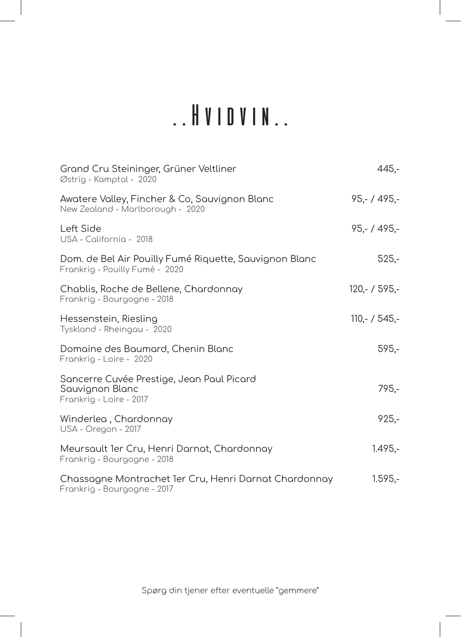# ..Hvidvin..

| Grand Cru Steininger, Grüner Veltliner<br>Østrig - Kamptal - 2020                        | $445 -$        |
|------------------------------------------------------------------------------------------|----------------|
| Awatere Valley, Fincher & Co, Sauvignon Blanc<br>New Zealand - Marlborough - 2020        | $95 - 495 -$   |
| Left Side<br>USA - California - 2018                                                     | $95 - 1495 -$  |
| Dom. de Bel Air Pouilly Fumé Riquette, Sauvignon Blanc<br>Frankrig - Pouilly Fumé - 2020 | $525,-$        |
| Chablis, Roche de Bellene, Chardonnay<br>Frankrig - Bourgogne - 2018                     | $120 - 7595 -$ |
| Hessenstein, Riesling<br>Tyskland - Rheingau - 2020                                      | $110 - 7545 -$ |
| Domaine des Baumard, Chenin Blanc<br>Frankrig - Loire - 2020                             | $595,-$        |
| Sancerre Cuvée Prestige, Jean Paul Picard<br>Sauvignon Blanc<br>Frankrig - Loire - 2017  | 795,-          |
| Winderlea, Chardonnay<br>USA - Oregon - 2017                                             | $925 -$        |
| Meursault 1er Cru, Henri Darnat, Chardonnay<br>Frankrig - Bourgogne - 2018               | $1.495 -$      |
| Chassagne Montrachet 1er Cru, Henri Darnat Chardonnay<br>Frankrig - Bourgogne - 2017     | $1.595 -$      |

Spørg din tjener efter eventuelle "gemmere"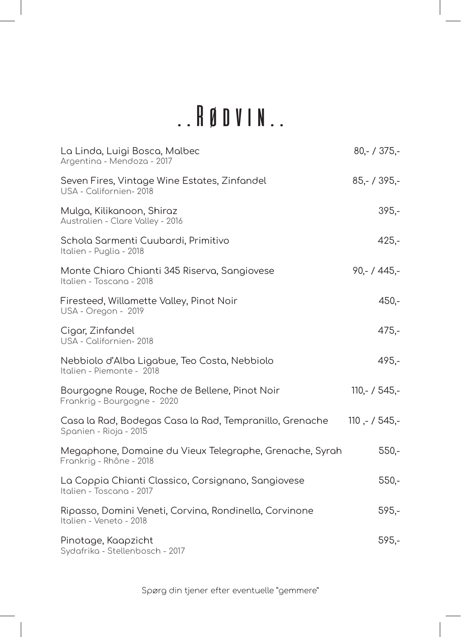# ..Rødvin..

| La Linda, Luigi Bosca, Malbec<br>Argentina - Mendoza - 2017                                      | $80 - 7375 -$  |
|--------------------------------------------------------------------------------------------------|----------------|
| Seven Fires, Vintage Wine Estates, Zinfandel<br>USA - Californien- 2018                          | $85,- / 395,-$ |
| Mulga, Kilikanoon, Shiraz<br>Australien - Clare Valley - 2016                                    | $395 -$        |
| Schola Sarmenti Cuubardi, Primitivo<br>Italien - Puglia - 2018                                   | $425 -$        |
| Monte Chiaro Chianti 345 Riserva, Sangiovese<br>Italien - Toscana - 2018                         | $90 - 445 -$   |
| Firesteed, Willamette Valley, Pinot Noir<br>USA - Oregon - 2019                                  | $450 -$        |
| Cigar, Zinfandel<br>USA - Californien- 2018                                                      | $475,-$        |
| Nebbiolo d'Alba Ligabue, Teo Costa, Nebbiolo<br>Italien - Piemonte - 2018                        | $495 -$        |
| Bourgogne Rouge, Roche de Bellene, Pinot Noir<br>Frankrig - Bourgogne - 2020                     | $110 - 7545 -$ |
| Casa la Rad, Bodegas Casa la Rad, Tempranillo, Grenache 110 ,- / 545,-<br>Spanien - Rioja - 2015 |                |
| Megaphone, Domaine du Vieux Telegraphe, Grenache, Syrah<br>Frankrig - Rhône - 2018               | $550 -$        |
| La Coppia Chianti Classico, Corsignano, Sangiovese<br>Italien - Toscana - 2017                   | $550 -$        |
| Ripasso, Domini Veneti, Corvina, Rondinella, Corvinone<br>Italien - Veneto - 2018                | $595,-$        |
| Pinotage, Kaapzicht<br>Sydafrika - Stellenbosch - 2017                                           | $595,-$        |

Spørg din tjener efter eventuelle "gemmere"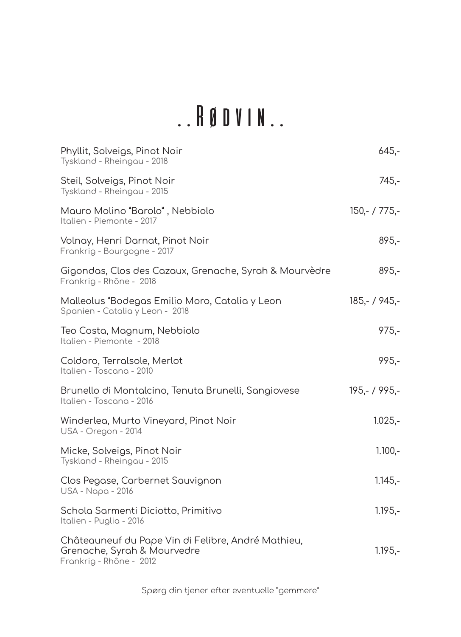# ..Rødvin..

| Phyllit, Solveigs, Pinot Noir<br>Tyskland - Rheingau - 2018                                                  | $645,-$         |
|--------------------------------------------------------------------------------------------------------------|-----------------|
| Steil, Solveigs, Pinot Noir<br>Tyskland - Rheingau - 2015                                                    | $745,-$         |
| Mauro Molino "Barolo", Nebbiolo<br>Italien - Piemonte - 2017                                                 | $150 - 775 -$   |
| Volnay, Henri Darnat, Pinot Noir<br>Frankrig - Bourgogne - 2017                                              | $895 -$         |
| Gigondas, Clos des Cazaux, Grenache, Syrah & Mourvèdre<br>Frankrig - Rhône - 2018                            | 895,-           |
| Malleolus "Bodegas Emilio Moro, Catalia y Leon<br>Spanien - Catalia y Leon - 2018                            | $185,- / 945,-$ |
| Teo Costa, Magnum, Nebbiolo<br>Italien - Piemonte - 2018                                                     | $975 -$         |
| Coldoro, Terralsole, Merlot<br>Italien - Toscana - 2010                                                      | $995 -$         |
| Brunello di Montalcino, Tenuta Brunelli, Sangiovese<br>Italien - Toscana - 2016                              | 195,- / 995,-   |
| Winderlea, Murto Vineyard, Pinot Noir<br>USA - Oregon - 2014                                                 | $1.025,-$       |
| Micke, Solveigs, Pinot Noir<br>Tyskland - Rheingau - 2015                                                    | $1.100 -$       |
| Clos Pegase, Carbernet Sauvignon<br>USA - Napa - 2016                                                        | $1.145,-$       |
| Schola Sarmenti Diciotto, Primitivo<br>Italien - Puglia - 2016                                               | $1.195 -$       |
| Châteauneuf du Pape Vin di Felibre, André Mathieu,<br>Grenache, Syrah & Mourvedre<br>Frankrig - Rhône - 2012 | $1.195,-$       |